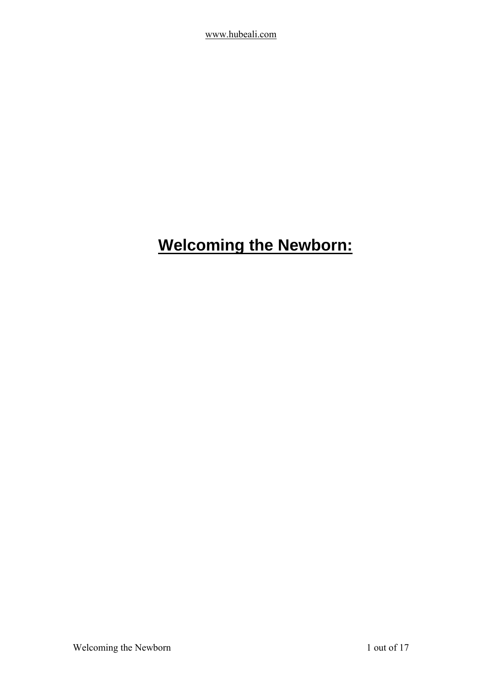# <span id="page-0-0"></span>**Welcoming the Newborn:**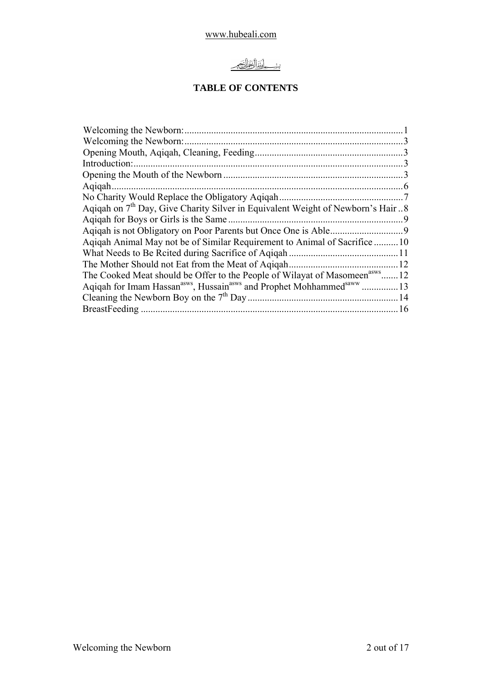# <u>بِيْنِ وَلِّلْأَأْتَرَائِحَةِ مِنْ</u>

## **TABLE OF CONTENTS**

| Welcoming the Newborn:                                                                  |      |
|-----------------------------------------------------------------------------------------|------|
|                                                                                         |      |
| Introduction:                                                                           |      |
|                                                                                         |      |
| Agigah                                                                                  | .6   |
| No Charity Would Replace the Obligatory Aqiqah                                          |      |
| Aqiqah on $7th$ Day, Give Charity Silver in Equivalent Weight of Newborn's Hair 8       |      |
| Aqiqah for Boys or Girls is the Same.                                                   |      |
|                                                                                         |      |
| Aqiqah Animal May not be of Similar Requirement to Animal of Sacrifice 10               |      |
|                                                                                         |      |
| The Mother Should not Eat from the Meat of Agigah                                       |      |
| The Cooked Meat should be Offer to the People of Wilayat of Masomeen <sup>asws</sup> 12 |      |
|                                                                                         |      |
|                                                                                         | . 14 |
|                                                                                         | . 16 |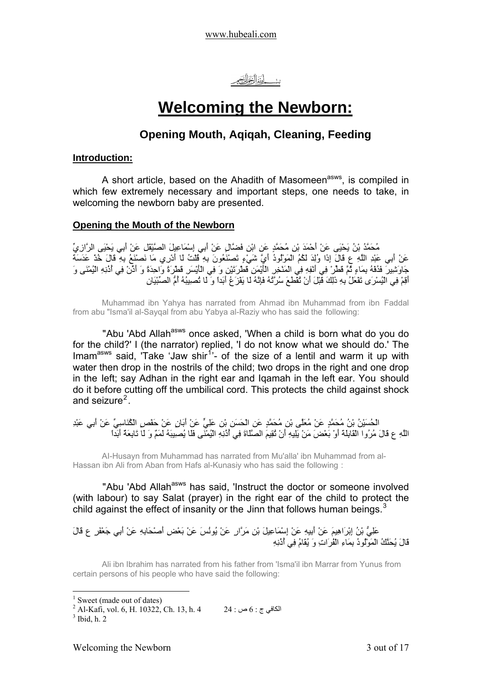# **Welcoming the Newborn:**

## **Opening Mouth, Aqiqah, Cleaning, Feeding**

### <span id="page-2-0"></span>**Introduction:**

A short article, based on the Ahadith of Masomeen<sup>asws</sup>, is compiled in which few extremely necessary and important steps, one needs to take, in welcoming the newborn baby are presented.

## **Opening the Mouth of the Newborn**

مُحَمَّدُ بْنُ يَحْيَى عَنْ أَحْمَدَ بْنِ مُحَمَّدٍ عَنِ ابْنِ فَضَّالٍ عَنْ أَبِي إِسْمَاعِيلَ الصَّيْقَلِ عَنْ أَبِي يَحْيَى الرَّازِيِّ عَنْ أَبِي عَبْدِ اللَّهِ ع قَالَ إِذَا وُلِدَ لَكُمُ الْمَوْلُودُ أَيَّ شَيْءٍ تَصْنَعُونَ بِهِ قُلْتُ لَا أَدْرِي مَا نَصْنَعُ بِهِ قَالَ خُذْ عَدَسَةَ جَاوَشِيرَ فَدُفْهُ بِمَاءٍ ثُمَّ قَطِّرْ فِي أَنْفِهِ فِي الْمَنْخِرِ الْأَيْمَنِ قَطْرَتَيْنِ وَ فِي الْأَيْسَرِ قَطْرَةً وَاحِدَةً وَ أَذِّنْ فِي أُذُنِهِ الْيُمْنَى وَ أَقِمْ فِي الْيُسْرَى تَفْعَلُ بِهِ ذَلِكَ قَبْلَ أَنْ تُقْطَعَ سُرَّتُهُ فَإِنَّهُ لَا يَفْزَعُ أَبَداً وَ لَا تُصِيبُهُ أُمُّ الصِّبْيَانِ

Muhammad ibn Yahya has narrated from Ahmad ibn Muhammad from ibn Faddal from abu "Isma'il al-Sayqal from abu Yabya al-Raziy who has said the following:

"Abu 'Abd Allah<sup>asws</sup> once asked, 'When a child is born what do you do for the child?' I (the narrator) replied, 'I do not know what we should do.' The Imam<sup>asws</sup> said, Take 'Jaw shir<sup>[1](#page-2-1)</sup>'- of the size of a lentil and warm it up with water then drop in the nostrils of the child; two drops in the right and one drop in the left; say Adhan in the right ear and Iqamah in the left ear. You should do it before cutting off the umbilical cord. This protects the child against shock and seizure<sup>[2](#page-2-2)</sup>.

الْحُسَيْنُ بْنُ مُحَمَّدٍ عَنْ مُعَلَّى بْنِ مُحَمَّدٍ عَنِ الْحَسَنِ بْنِ عَلِيٍّ عَنْ أَبَانٍ عَنْ حَفْصٍ الْكُنَاسِيِّ عَنْ أَبِي عَبْدِ اللَّهِ ع قَالَ مُرُوا الْقَابِلَةَ أَوْ بَعْضَ مَنْ يَلِيهِ أَنْ تُقِيمَ الصَّلَاةَ فِي أُذُنِهِ الْيُمْنَى فَلَا يُصِيبَهُ لَمَمٌ وَ لَا تَابِعَةٌ أَبَداً

AI-Husayn from Muhammad has narrated from Mu'alla' ibn Muhammad from al-Hassan ibn Ali from Aban from Hafs al-Kunasiy who has said the following :

"Abu 'Abd Allah<sup>asws</sup> has said, 'Instruct the doctor or someone involved (with labour) to say Salat (prayer) in the right ear of the child to protect the child against the effect of insanity or the Jinn that follows human beings. $3$ 

عَلِيُّ بْنُ إِبْرَاهِيمَ عَنْ أَبِيهِ عَنْ إِسْمَاعِيلَ بْنِ مَرَّارٍ عَنْ يُونُسَ عَنْ بَعْضِ أَصْحَابِهِ عَنْ أَبِي جَعْفَرٍ ع قَالَ قَالَ يُحَنَّكُ الْمَوْلُودُ بِمَاءِ الْفُرَاتِ وَ يُقَامُ فِي أُذُنِهِ

Ali ibn Ibrahim has narrated from his father from 'Isma'il ibn Marrar from Yunus from certain persons of his people who have said the following:

<sup>&</sup>lt;sup>1</sup> Sweet (made out of dates)

<span id="page-2-3"></span><span id="page-2-2"></span><span id="page-2-1"></span> $^2$  Al-Kafi, vol. 6, H. 10322, Ch. 13, h. 4  $^2$  24 : ص  $6$  :  $\frac{1}{3}$  Thid h. 2  $3$  Ibid, h. 2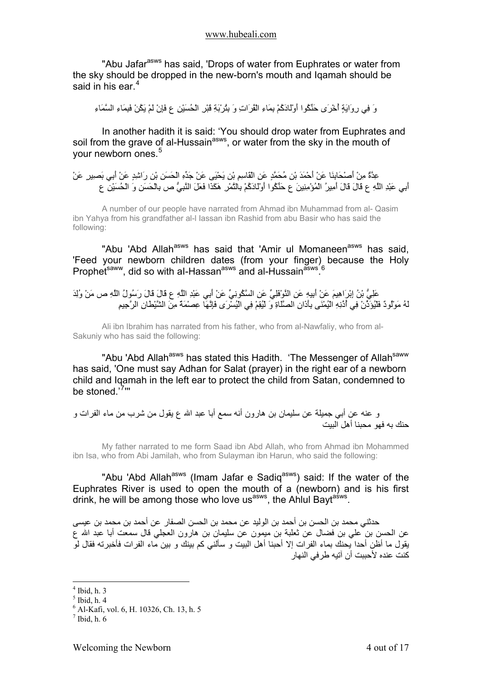"Abu Jafar<sup>asws</sup> has said, 'Drops of water from Euphrates or water from the sky should be dropped in the new-born's mouth and Iqamah should be said in his ear.<sup>[4](#page-3-0)</sup>

وَ فِي رِوَايَةٍ أُخْرَى حَنِّكُوا أَوْلَادَآُمْ بِمَاءِ الْفُرَاتِ وَ بِتُرْبَةِ قَبْرِ الْحُسَيْنِ ع فَإِنْ لَمْ يَكُنْ فَبِمَاءِ السَّمَاءِ

In another hadith it is said: 'You should drop water from Euphrates and soil from the grave of al-Hussain<sup>asws</sup>, or water from the sky in the mouth of your newborn ones.<sup>[5](#page-3-1)</sup>

عِدَّةٌ مِنْ أَصْحَابِنَا عَنْ أَحْمَدَ بْنِ مُحَمَّدٍ عَنِ الْقَاسِمِ بْنِ يَحْيَى عَنْ جَدِّهِ الْحَسَنِ بْنِ رَاشِدٍ عَنْ أَبِي بَصِيرٍ عَنْ أَبِي عَبْدِ اللَّهِ ع قَالَ قَالَ أَمِيرُ الْمُؤْمِنِينَ ع حَنِّكُوا أَوْلَادَآُمْ بِالتَّمْرِ هَكَذَا فَعَلَ النَّبِيُّ ص بِالْحَسَنِ وَ الْحُسَيْنِ ع

A number of our people have narrated from Ahmad ibn Muhammad from al- Qasim ibn Yahya from his grandfather al-l Iassan ibn Rashid from abu Basir who has said the following:

"Abu 'Abd Allah<sup>asws</sup> has said that 'Amir ul Momaneen<sup>asws</sup> has said, 'Feed your newborn children dates (from your finger) because the Holy Prophet<sup>saww</sup>, did so with al-Hassan<sup>asws</sup> and al-Hussain<sup>asws [6](#page-3-2)</sup>

عَلِيُّ بْنُ إِبْرَاهِيمَ عَنْ أَبِيهِ عَنِ النَّوْفَلِيِّ عَنِ السَّكُونِيِّ عَنْ أَبِي عَبْدِ اللَّهِ ع قَالَ قَالَ رَسُولُ اللَّهِ ص مَنْ وُلِدَ لَهُ مَوْلُودٌ فَلْيُؤَذِّنْ فِي أُذُنِهِ الْيُمْنَى بِأَذَانِ الصَّلَاةِ وَ لْيُقِمْ فِي الْيُسْرَى فَإِنَّهَا عِصْمَةٌ مِنَ الشَّيْطَانِ الرَّجِيمِ

Ali ibn Ibrahim has narrated from his father, who from al-Nawfaliy, who from al-Sakuniy who has said the following:

"Abu 'Abd Allah<sup>asws</sup> has stated this Hadith. 'The Messenger of Allah<sup>saww</sup> has said, 'One must say Adhan for Salat (prayer) in the right ear of a newborn child and Iqamah in the left ear to protect the child from Satan, condemned to be stoned.'<sup>[7](#page-3-3)</sup>"'

و عنه عن أبي جميلة عن سليمان بن هارون أنه سمع أبا عبد االله ع يقول من شرب من ماء الفرات و حنك به فهو محبنا أهل البيت

My father narrated to me form Saad ibn Abd Allah, who from Ahmad ibn Mohammed ibn Isa, who from Abi Jamilah, who from Sulayman ibn Harun, who said the following:

"Abu 'Abd Allah<sup>asws</sup> (Imam Jafar e Sadiq<sup>asws</sup>) said: If the water of the Euphrates River is used to open the mouth of a (newborn) and is his first drink, he will be among those who love us<sup>asws</sup>, the Aniul Bayt<sup>asws</sup>.

حدثني محمد بن الحسن بن أحمد بن الوليد عن محمد بن الحسن الصفار عن أحمد بن محمد بن عيسى عن الحسن بن علي بن فضال عن ثعلبة بن ميمون عن سليمان بن هارون العجلي قال سمعت أبا عبد الله ع يقول ما أظن أحدا يحنك بماء الفرات إلا أحبنا أهل البيت و سألني آم بينك و بين ماء الفرات فأخبرته فقال لو آنت عنده لأحببت أن آتيه طرفي النهار

 $<sup>4</sup>$  Ibid, h. 3</sup>

<span id="page-3-1"></span><span id="page-3-0"></span> $<sup>5</sup>$  Ibid, h. 4</sup>

<span id="page-3-2"></span><sup>6</sup> Al-Kafi, vol. 6, H. 10326, Ch. 13, h. 5

<span id="page-3-3"></span> $<sup>7</sup>$  Ibid, h. 6</sup>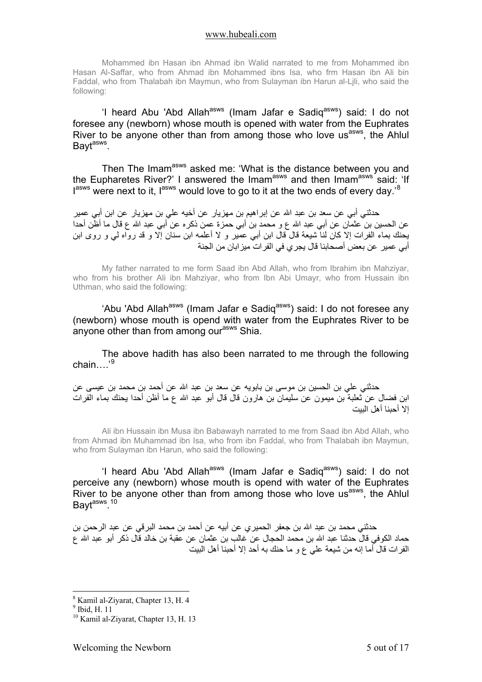Mohammed ibn Hasan ibn Ahmad ibn Walid narrated to me from Mohammed ibn Hasan Al-Saffar, who from Ahmad ibn Mohammed ibns Isa, who frm Hasan ibn Ali bin Faddal, who from Thalabah ibn Maymun, who from Sulayman ibn Harun al-Ljli, who said the following:

'I heard Abu 'Abd Allah<sup>asws</sup> (Imam Jafar e Sadiq<sup>asws</sup>) said: I do not foresee any (newborn) whose mouth is opened with water from the Euphrates River to be anyone other than from among those who love us<sup>asws</sup>, the Ahlul Bayt<sup>asws</sup>.

Then The Imam<sup>asws</sup> asked me: 'What is the distance between you and the Eupharetes River?' I answered the Imam<sup>asws</sup> and then Imam<sup>asws</sup> said: 'If lasws were next to it, lasws would love to go to it at the two ends of every day.'<sup>8</sup>

حدثني أبي عن سعد بن عبد االله عن إبراهيم بن مهزيار عن أخيه علي بن مهزيار عن ابن أبي عمير عن الحسين بن عثمان عن أبي عبد الله ع و محمد بن أبي حمزة عمن ذكره عن أبي عبد الله ع قال ما أظَّن أحدا يحنك بماء الفرات إلا كان لنا شيعة قال قال ابن أبي عمير و لا أعلمه ابن سنان إلا و قد رواه لي و روى ابن أبي عمير عن بعض أصحابنا قال يجري في الفرات ميزابان من الجنة

My father narrated to me form Saad ibn Abd Allah, who from Ibrahim ibn Mahziyar, who from his brother Ali ibn Mahziyar, who from Ibn Abi Umayr, who from Hussain ibn Uthman, who said the following:

'Abu 'Abd Allah<sup>asws</sup> (Imam Jafar e Sadiq<sup>asws</sup>) said: I do not foresee any (newborn) whose mouth is opend with water from the Euphrates River to be anyone other than from among our<sup>asws</sup> Shia.

The above hadith has also been narrated to me through the following chain….'<sup>[9](#page-4-1)</sup>

حدثني علي بن الحسين بن موسى بن بابويه عن سعد بن عبد االله عن أحمد بن محمد بن عيسى عن ابن فضال عن ثعلبة بن ميمون عن سليمان بن هارون قال قال أبو عبد الله ع ما أظن أحدا يحنك بماء الفرات إلا أحبنا أهل البيت

Ali ibn Hussain ibn Musa ibn Babawayh narrated to me from Saad ibn Abd Allah, who from Ahmad ibn Muhammad ibn Isa, who from ibn Faddal, who from Thalabah ibn Maymun, who from Sulayman ibn Harun, who said the following:

'I heard Abu 'Abd Allah<sup>asws</sup> (Imam Jafar e Sadiq<sup>asws</sup>) said: I do not perceive any (newborn) whose mouth is opend with water of the Euphrates River to be anyone other than from among those who love us<sup>asws</sup>, the Ahlul Bayt<sup>asws</sup>.<sup>[10](#page-4-2)</sup>

حدثني محمد بن عبد الله بن جعفر الحمير ي عن أبيه عن أحمد بن محمد البر في عن عبد الرحمن بن حماد الكوفي قال حدثنا عبد الله بن محمد الحجال عن غالب بن عثمان عن عقبة بن خالد قال ذكر أبو عبد الله ع الفرات قال أما إنه من شيعة علي ع و ما حنك به أحد إلا أحبنا أهل البيت

<sup>8</sup> Kamil al-Ziyarat, Chapter 13, H. 4

<span id="page-4-1"></span><span id="page-4-0"></span> $<sup>9</sup>$  Ibid, H. 11</sup>

<span id="page-4-2"></span><sup>&</sup>lt;sup>10</sup> Kamil al-Ziyarat, Chapter 13, H. 13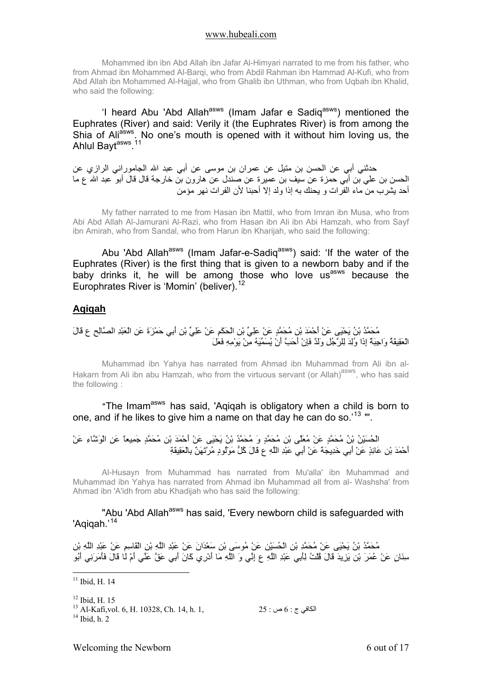<span id="page-5-0"></span>Mohammed ibn ibn Abd Allah ibn Jafar Al-Himyari narrated to me from his father, who from Ahmad ibn Mohammed Al-Barqi, who from Abdil Rahman ibn Hammad Al-Kufi, who from Abd Allah ibn Mohammed Al-Hajjal, who from Ghalib ibn Uthman, who from Uqbah ibn Khalid, who said the following:

'I heard Abu 'Abd Allah<sup>asws</sup> (Imam Jafar e Sadiq<sup>asws</sup>) mentioned the Euphrates (River) and said: Verily it (the Euphrates River) is from among the Shia of Ali<sup>asws</sup>. No one's mouth is opened with it without him loving us, the Ahlul Bayt<sup>asws</sup>.<sup>[11](#page-5-1)</sup>

حدثني أبي عن الحسن بن متيل عن عمران بن موسى عن أبي عبد االله الجاموراني الرازي عن الحسن بن علي بن أبي حمزة عن سيف بن عميرة عن صندل عن هارون بن خارجة قال قال أبو عبد االله ع ما أحد يشرب من ماء الفرات و يحنك به إذا ولد إلا أحبنا لأن الفرات نهر مؤمن

My father narrated to me from Hasan ibn Mattil, who from Imran ibn Musa, who from Abi Abd Allah Al-Jamurani Al-Razi, who from Hasan ibn Ali ibn Abi Hamzah, who from Sayf ibn Amirah, who from Sandal, who from Harun ibn Kharijah, who said the following:

Abu 'Abd Allah<sup>asws</sup> (Imam Jafar-e-Sadiq<sup>asws</sup>) said: 'If the water of the Euphrates (River) is the first thing that is given to a newborn baby and if the baby drinks it, he will be among those who love us<sup>asws</sup> because the Europhrates River is 'Momin' (beliver).<sup>[12](#page-5-2)</sup>

### **Aqiqah**

## مُحَمَّدُ بْنُ يَحْيَى عَنْ أَحْمَدَ بْنِ مُحَمَّدٍ عَنْ عَلِيِّ بْنِ الْحَكَمِ عَنْ عَلِيِّ بْنِ أَبِي حَمْزَةَ عَنِ الْعَبْدِ الصَّالِحِ ع قَالَ الْعَقِيقَةُ وَاجِبَةٌ إِذَا وُلِدَ لِلرَّجُلِ وَلَدٌ فَإِنْ أَحَبَّ أَنْ يُسَمِّيَهُ مِنْ يَوْمِهِ فَعَلَ

Muhammad ibn Yahya has narrated from Ahmad ibn Muhammad from Ali ibn al-Hakarn from Ali ibn abu Hamzah, who from the virtuous servant (or Allah)<sup>asws</sup>, who has said the following :

" The Imam<sup>asws</sup> has said. 'Agigah is obligatory when a child is born to one, and if he likes to give him a name on that day he can do so.<sup>[13](#page-5-3)</sup> ".

الْحُسَيْنُ بْنُ مُحَمَّدٍ عَنْ مُعَلَّى بْنِ مُحَمَّدٍ وَ مُحَمَّدُ بْنُ يَحْيَى عَنْ أَحْمَدَ بْنِ مُحَمَّدٍ جَمِيعاً عَنِ الْوَشَّاءِ عَنْ أَحْمَدَ بْنِ عَائِذٍ عَنْ أَبِي خَدِيجَةَ عَنْ أَبِي عَبْدِ اللَّهِ ع قَالَ آُلُّ مَوْلُودٍ مُرْتَهَنٌ بِالْعَقِيقَةِ

Al-Husayn from Muhammad has narrated from Mu'alla' ibn Muhammad and Muhammad ibn Yahya has narrated from Ahmad ibn Muhammad all from al- Washsha' from Ahmad ibn 'A'idh from abu Khadijah who has said the following:

### "Abu 'Abd Allah<sup>asws</sup> has said, 'Every newborn child is safeguarded with 'Aqiqah.'<sup>[14](#page-5-4)</sup>

مُحَمَّدُ بْنُ يَحْيَى عَنْ مُحَمَّدِ بْنِ الْحُسَيْنِ عَنْ مُوسَى بْنِ سَعْدَانَ عَنْ عَبْدِ اللَّهِ بْنِ الْقَاسِمِ عَنْ عَبْدِ اللَّهِ بْنِ سِنَانٍ عَنْ عُمَرَ بْنِ يَزِيدَ قَالَ قُلْتُ لِأَبِي عَبْدِ اللَّهِ ع إِنِّي وَ اللَّهِ مَا أَدْرِي آَانَ أَبِي عَقَّ عَنِّي أَمْ لَا قَالَ فَأَمَرَنِي أَبُو

<u>.</u>

<span id="page-5-1"></span> $11$  Ibid, H. 14

<span id="page-5-2"></span><sup>&</sup>lt;sup>12</sup> Ibid, H, 15

<span id="page-5-4"></span><span id="page-5-3"></span><sup>13</sup> Al-Kafi,vol. 6, H. 10328, Ch. 14, h. 1, 25 : ص : 25  $6 \div 5^{\frac{13}{4}}$  Ibid. h. 2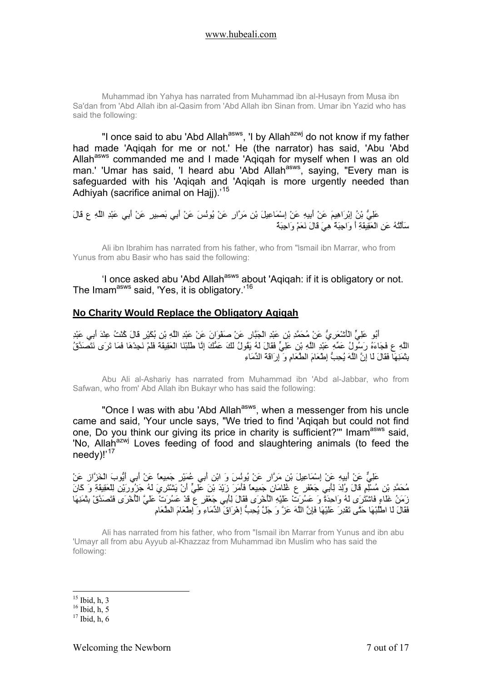<span id="page-6-0"></span>Muhammad ibn Yahya has narrated from Muhammad ibn al-Husayn from Musa ibn Sa'dan from 'Abd Allah ibn al-Qasim from 'Abd Allah ibn Sinan from. Umar ibn Yazid who has said the following:

"I once said to abu 'Abd Allah<sup>asws</sup>, 'I by Allah<sup>azwj</sup> do not know if my father had made 'Aqiqah for me or not.' He (the narrator) has said, 'Abu 'Abd Allah<sup>asws</sup> commanded me and I made 'Aqiqah for myself when I was an old man.' 'Umar has said, 'I heard abu 'Abd Allah<sup>asws</sup>, saying, "Every man is safeguarded with his 'Aqiqah and 'Aqiqah is more urgently needed than Adhiyah (sacrifice animal on Haii).<sup>[15](#page-6-1)</sup>

```
عَلِيُّ بْنُ إِبْرَاهِيمَ عَنْ أَبِيهِ عَنْ إِسْمَاعِيلَ بْنِ مَرَّارٍ عَنْ يُونُسَ عَنْ أَبِي بَصِيرٍ عَنْ أَبِي عَبْدِ اللَّهِ ع قَالَ
                                                                                  سَأَلْتُهُ عَنِ الْعَقِيقَةِ أَ وَاجِبَةٌ هِيَ قَالَ نَعَمْ وَاجِبَةٌ
```
Ali ibn Ibrahim has narrated from his father, who from "lsmail ibn Marrar, who from Yunus from abu Basir who has said the following:

'I once asked abu 'Abd Allah<sup>asws</sup> about 'Agigah: if it is obligatory or not. The Imam<sup>asws</sup> said, 'Yes, it is obligatory.'<sup>[16](#page-6-2)</sup>

### **No Charity Would Replace the Obligatory Aqiqah**

أَبُو عَلِيٍّ الْأَشْعَرِيُّ عَنْ مُحَمَّدِ بْنِ عَبْدِ الْجَبَّارِ عَنْ صَفْوَانَ عَنْ عَبْدِ اللَّهِ بْنِ بُكَيْرٍ قَالَ آُنْتُ عِنْدَ أَبِي عَبْدِ اللَّهِ ع فَجَاءَهُ رَسُولُ عَمِّهِ عَبْدِ اللَّهِ بْنِ عَلِيٍّ فَقَالَ لَهُ يَقُولُ لَكَ عَمُّكَ إِنَّا طَلَبْنَا الْعَقِيقَةَ فَلَمْ نَجِدْهَا فَمَا تَرَى نَتَصَدَّقُ بِثَمَنِهَا فَقَالَ لَا إِنَّ اللَّهَ يُحِبُّ إِطْعَامَ الطَّعَامِ وَ إِرَاقَةَ الدِّمَاءِ

Abu Ali al-Ashariy has narrated from Muhammad ibn 'Abd al-Jabbar, who from Safwan, who from' Abd Allah ibn Bukayr who has said the following:

"Once I was with abu 'Abd Allah<sup>asws</sup>, when a messenger from his uncle came and said, 'Your uncle says, "We tried to find 'Aqiqah but could not find one, Do you think our giving its price in charity is sufficient?" Imam<sup>asws</sup> said, 'No, Allah<sup>azwj</sup> Loves feeding of food and slaughtering animals (to feed the needy)!'<sup>[17](#page-6-3)</sup>

عَلِيٌّ عَنْ أَبِيهِ عَنْ إِسْمَاعِيلَ بْنِ مَرَّارٍ عَنْ يُونُسَ وَ ابْنِ أَبِي عُمَيْرٍ جَمِيعاً عَنْ أَبِي أَيُّوبَ الْخَزَّازِ عَنْ مُحَمَّدِ بْنِ مُسْلِمٍ قَالَ وُلِدَ لِأَبِي جَعْفَرٍ ع غُلَامَانِ جَمِيعاً فَأَمَرَ زَيْدَ بْنَ عَلِيٍّ أَنْ يَشْتَرِيَ لَهُ جَزُورَيْنِ لِلْعَقِيقَةِ وَ آَانَ زَمَنُ غَلَاءٍ فَاشْتَرَى لَهُ وَاحِدَةً وَ عَسُرَتْ عَلَيْهِ الْأُخْرَى فَقَالَ لِأَبِي جَعْفَرٍ ع قَدْ عَسُرَتْ عَلَيَّ الْأُخْرَى فَتَصَدَّقْ بِثَمَنِهَا فَقَالَ لَا اطْلُبْهَا حَتَّى تَقْدِرَ عَلَيْهَا فَإِنَّ اللَّهَ عَزَّ وَ جَلَّ يُحِبُّ إِهْرَاقَ الدِّمَاءِ وَ إِطْعَامَ الطَّعَامِ

Ali has narrated from his father, who from "Ismail ibn Marrar from Yunus and ibn abu 'Umayr all from abu Ayyub al-Khazzaz from Muhammad ibn Muslim who has said the following:

<sup>1</sup>  $15$  Ibid, h, 3

<span id="page-6-2"></span><span id="page-6-1"></span> $16$  Ibid, h, 5

<span id="page-6-3"></span> $17$  Ibid, h, 6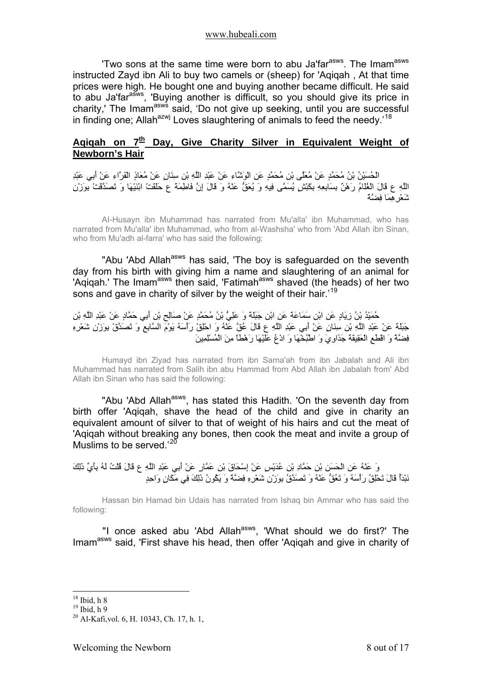<span id="page-7-0"></span>'Two sons at the same time were born to abu Ja'far<sup>asws</sup>. The Imam<sup>asws</sup> instructed Zayd ibn Ali to buy two camels or (sheep) for 'Aqiqah , At that time prices were high. He bought one and buying another became difficult. He said to abu Ja'far<sup>asws</sup>, 'Buying another is difficult, so you should give its price in co does come in an asws said, 'Do not give up seeking, until you are successful in finding one; Allah<sup>azwj</sup> Loves slaughtering of animals to feed the needy.<sup>[18](#page-7-1)</sup>

## Agigah on 7<sup>th</sup> Day, Give Charity Silver in Equivalent Weight of **Newborn's Hair**

الْحُسَيْنُ بْنُ مُحَمَّدٍ عَنْ مُعَلَّى بْنِ مُحَمَّدٍ عَنِ الْوَشَّاءِ عَنْ عَبْدِ اللَّهِ بْنِ سِنَانٍ عَنْ مُعَاذٍ الْفَرَّاءِ عَنْ أَبِي عَبْدِ اللَّهِ ع قَالَ الْغُلَامُ رَهْنٌ بِسَابِعِهِ بِكَبْشٍ يُسَمَّى فِيهِ وَ يُعَقُّ عَنْهُ وَ قَالَ إِنَّ فَاطِمَةَ ع حَلَقَتْ ابْنَيْهَا وَ تَصَدَّقَتْ بِوَزْنِ شَعْرِهِمَا فِضَّةً

AI-Husayn ibn Muhammad has narrated from Mu'alla' ibn Muhammad, who has narrated from Mu'alla' ibn Muhammad, who from al-Washsha' who from 'Abd Allah ibn Sinan, who from Mu'adh al-farra' who has said the following:

"Abu 'Abd Allah<sup>asws</sup> has said, 'The boy is safeguarded on the seventh day from his birth with giving him a name and slaughtering of an animal for 'Aqiqah.' The Imamasws then said, 'Fatimahasws shaved (the heads) of her two sons and gave in charity of silver by the weight of their hair.<sup>[19](#page-7-2)</sup>

حُمَيْدُ بْنُ زِيَادٍ عَنِ ابْنِ سَمَاعَةَ عَنِ ابْنِ جَبَلَةَ وَ عَلِيُّ بْنُ مُحَمَّدٍ عَنْ صَالِحِ بْنِ أَبِي حَمَّادٍ عَنْ عَبْدِ اللَّهِ بْنِ جَبَلَةَ عَنْ عَبْدِ اللَّهِ بْنِ سِنَانٍ عَنْ أَبِي عَبْدِ اللَّهِ ع قَالَ عُقَّ عَنْهُ وَ احْلِقْ رَأْسَهُ يَوْمَ السَّابِعِ وَ تَصَدَّقْ بِوَزْنِ شَعْرِهِ فِضَّةً وَ اقْطَعِ الْعَقِيقَةَ جَذَاوِيَ وَ اطْبُخْهَا وَ ادْعُ عَلَيْهَا رَهْطاً مِنَ الْمُسْلِمِينَ

Humayd ibn Ziyad has narrated from ibn Sarna'ah from ibn Jabalah and Ali ibn Muhammad has narrated from Salih ibn abu Hammad from Abd Allah ibn Jabalah from' Abd Allah ibn Sinan who has said the following:

"Abu 'Abd Allah<sup>asws</sup>, has stated this Hadith. 'On the seventh day from birth offer 'Aqiqah, shave the head of the child and give in charity an equivalent amount of silver to that of weight of his hairs and cut the meat of 'Aqiqah without breaking any bones, then cook the meat and invite a group of Muslims to be served.<sup>'[20](#page-7-3)</sup>

وَ عَنْهُ عَنِ الْحَسَنِ بْنِ حَمَّادِ بْنِ عُدَيْسٍ عَنْ إِسْحَاقَ بْنِ عَمَّارٍ عَنْ أَبِي عَبْدِ اللَّهِ ع قَالَ قُلْتُ لَهُ بِأَيِّ ذَلِكَ نَبْدَأُ قَالَ تَحْلِقُ رَأْسَهُ وَ تَعُقُّ عَنْهُ وَ تَصَدَّقُ بِوَزْنِ شَعْرِهِ فِضَّةً وَ يَكُونُ ذَلِكَ فِي مَكَانٍ وَاحِدٍ

Hassan bin Hamad bin Udais has narrated from Ishaq bin Ammar who has said the following:

"I once asked abu 'Abd Allah<sup>asws</sup>, 'What should we do first?' The Imamasws said, 'First shave his head, then offer 'Aqiqah and give in charity of

 $18$  Ibid, h 8

<span id="page-7-2"></span><span id="page-7-1"></span> $19$  Ibid, h 9

<span id="page-7-3"></span><sup>20</sup> Al-Kafi,vol. 6, H. 10343, Ch. 17, h. 1,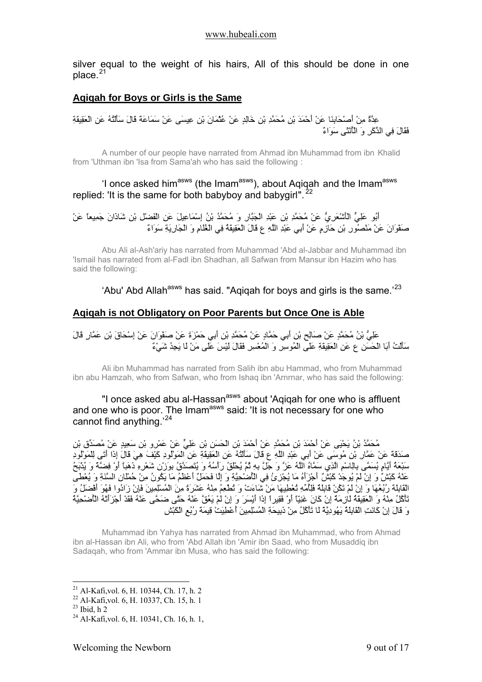<span id="page-8-0"></span>silver equal to the weight of his hairs, All of this should be done in one place. $21$ 

## **Aqiqah for Boys or Girls is the Same**

## عِدَّةٌ مِنْ أَصْحَابِنَا عَنْ أَحْمَدَ بْنِ مُحَمَّدِ بْنِ خَالِدٍ عَنْ عُثْمَانَ بْنِ عِيسَى عَنْ سَمَاعَةَ قَالَ سَأَلْتُهُ عَنِ الْعَقِيقَةِ فَقَالَ فِي الذَّآَرِ وَ الْأُنْثَى سَوَاءٌ

A number of our people have narrated from Ahmad ibn Muhammad from ibn Khalid from 'Uthman ibn 'Isa from Sama'ah who has said the following :

## 'I once asked him<sup>asws</sup> (the Imam<sup>asws</sup>), about Aqiqah and the Imam<sup>asws</sup> replied: 'It is the same for both babyboy and babygirl".  $22$

## أَبُو عَلِيٍّ الْأَشْعَرِيُّ عَنْ مُحَمَّدِ بْنِ عَبْدِ الْجَبَّارِ وَ مُحَمَّدُ بْنُ إِسْمَاعِيلَ عَنِ الْفَضْلِ بْنِ شَاذَانَ جَمِيعاً عَنْ صَفْوَانَ عَنْ مَنْصُورِ بْنِ حَازِمٍ عَنْ أَبِي عَبْدِ اللَّهِ ع قَالَ الْعَقِيقَةُ فِي الْغُلَامِ وَ الْجَارِيَةِ سَوَاءٌ

Abu Ali al-Ash'ariy has narrated from Muhammad 'Abd al-Jabbar and Muhammad ibn 'Ismail has narrated from al-Fadl ibn Shadhan, all Safwan from Mansur ibn Hazim who has said the following:

'Abu' Abd Allah<sup>asws</sup> has said. "Agigah for boys and girls is the same.<sup>23</sup>

## **Aqiqah is not Obligatory on Poor Parents but Once One is Able**

عَلِيُّ بْنُ مُحَمَّدٍ عَنْ صَالِحِ بْنِ أَبِي حَمَّادٍ عَنْ مُحَمَّدِ بْنِ أَبِي حَمْزَةَ عَنْ صَفْوَانَ عَنْ إِسْحَاقَ بْنِ عَمَّارٍ قَالَ سَأَلْتُ أَبَا الْحَسَنِ ع عَنِ الْعَقِيقَةِ عَلَى الْمُوسِرِ وَ الْمُعْسِرِ فَقَالَ لَيْسَ عَلَى مَنْ لَا يَجِدُ شَيْءٌ

Ali ibn Muhammad has narrated from Salih ibn abu Hammad, who from Muhammad ibn abu Hamzah, who from Safwan, who from Ishaq ibn 'Arnrnar, who has said the following:

"I once asked abu al-Hassan<sup>asws</sup> about 'Aqiqah for one who is affluent and one who is poor. The Imam<sup>asws</sup> said: 'It is not necessary for one who cannot find anything.'[24](#page-8-4)

مُحَمَّدُ بْنُ يَحْيَى عَنْ أَحْمَدَ بْنِ مُحَمَّدٍ عَنْ أَحْمَدَ بْنِ الْحَسَنِ بْنِ عَلِيٍّ عَنْ عَمْرِو بْنِ سَعِيدٍ عَنْ مُصَدِّقِ بْنِ صَدَقَةَ عَنْ عَمَّارِ بْنِ مُوسَى عَنْ أَبِي عَبْدِ اللَّهِ ع قَالَ سَأَلْتُهُ عَنِ الْعَقِيقَةِ عَنِ الْمَوْلُودِ آَيْفَ هِيَ قَالَ إِذَا أَتَى لِلْمَوْلُودِ سَبْعَةُ أَيَّامٍ يُسَمَّى بِالِاسْمِ الَّذِي سَمَّاهُ اللَّهُ عَزَّ وَ جَلَّ بِهِ ثُمَّ يُحْلَقُ رَأْسُهُ وَ يُتَصَدَّقُ بِوَزْنِ شَعْرِهِ ذَهَباً أَوْ فِضَّةً وَ يُذْبَحُ عَنْهُ بَيْسٌ يَجْسَمُ بِبَيْسَتِ فَجَسَمَ حَمَّقٍ مَسْتَحَمَّةٍ .<br>عَنْهُ كَبْشٌ وَ إِنْ لَمْ يُوجَدْ كَبْشٌ أَجْزَأَهُ مَا يُجْزِئُ فِي الْأُضْحِيَّةِ وَ إِلَّا فَحَمَلٌ أَعْظَمُ مَا يَكُونُ مِنْ حُمْلَانِ السَّنَةِ وَ ي .<br>الْقَابِلَةَ رُبُّعُهَا وَ إِنْ لَمْ تَكُنْ قَابِلَةٌ فَلِأُمِّهِ تُعْطِيهَا مَنْ شَاءَتْ وَ تُطْعِمُ مِنْهُ ع تَأْآُلُ مِنْهُ وَ الْعَقِيقَةُ لَازِمَةٌ إِنْ آَانَ غَنِيّاً أَوْ فَقِيراً إِذَا أَيْسَرَ وَ إِنْ لَمْ يَعُقَّ عَنْهُ حَتَّى ضَحَّى عَنْهُ فَقَدْ أَجْزَأَتْهُ الْأُضْحِيَّةُ وَ قَالَ إِنْ آَانَتِ الْقَابِلَةُ يَهُودِيَّةً لَا تَأْآُلُ مِنْ ذَبِيحَةِ الْمُسْلِمِينَ أُعْطِيَتْ قِيمَةَ رُبُعِ الْكَبْشِ

Muhammad ibn Yahya has narrated from Ahmad ibn Muhammad, who from Ahmad ibn al-Hassan ibn Ali, who from 'Abd Allah ibn 'Amir ibn Saad, who from Musaddiq ibn Sadaqah, who from 'Ammar ibn Musa, who has said the following:

<span id="page-8-1"></span><sup>21</sup> Al-Kafi,vol. 6, H. 10344, Ch. 17, h. 2

<span id="page-8-2"></span><sup>22</sup> Al-Kafi,vol. 6, H. 10337, Ch. 15, h. 1

<span id="page-8-3"></span> $23$  Ibid, h 2

<span id="page-8-4"></span> $24$  Al-Kafi, vol. 6, H. 10341, Ch. 16, h. 1,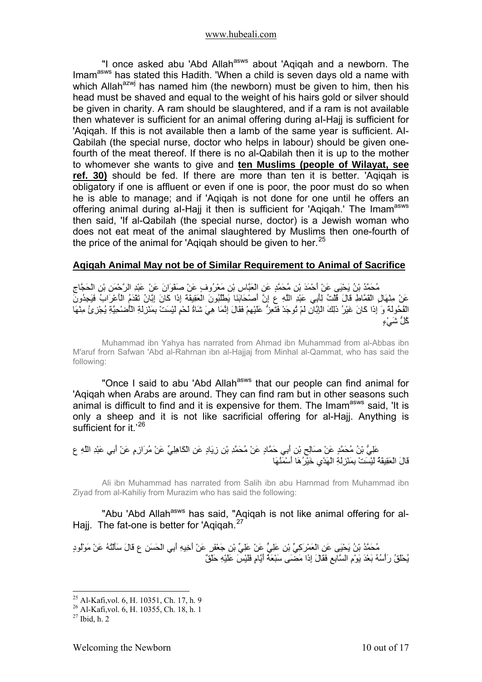<span id="page-9-0"></span>"I once asked abu 'Abd Allah<sup>asws</sup> about 'Aqiqah and a newborn. The Imam<sup>asws</sup> has stated this Hadith. 'When a child is seven days old a name with which Allah<sup>azwj</sup> has named him (the newborn) must be given to him, then his head must be shaved and equal to the weight of his hairs gold or silver should be given in charity. A ram should be slaughtered, and if a ram is not available then whatever is sufficient for an animal offering during aI-Hajj is sufficient for 'Aqiqah. If this is not available then a lamb of the same year is sufficient. AI-Qabilah (the special nurse, doctor who helps in labour) should be given onefourth of the meat thereof. If there is no al-Qabilah then it is up to the mother to whomever she wants to give and **ten Muslims (people of Wilayat, see ref. 30)** should be fed. If there are more than ten it is better. 'Aqiqah is obligatory if one is affluent or even if one is poor, the poor must do so when he is able to manage; and if 'Aqiqah is not done for one until he offers an offering animal during al-Hajj it then is sufficient for 'Aqiqah.' The Imam<sup>asws</sup> then said, 'If al-Qabilah (the special nurse, doctor) is a Jewish woman who does not eat meat of the animal slaughtered by Muslims then one-fourth of the price of the animal for 'Agigah should be given to her. $^{25}$  $^{25}$  $^{25}$ 

## **Aqiqah Animal May not be of Similar Requirement to Animal of Sacrifice**

مُحَمَّدُ بْنُ يَحْيَى عَنْ أَحْمَدَ بْنِ مُحَمَّدٍ عَنِ الْعَبَّاسِ بْنِ مَعْرُوفٍ عَنْ صَفْوَانَ عَنْ عَبْدِ الرَّحْمَنِ بْنِ الْحَجَّاجِ عَنْ مِنْهَالٍ الْقَمَّاطِ قَالَ قُلْتُ لِأَبِي عَبْدِ اللَّهِ ع إِنَّ أَصْحَابَنَا يَطْلُبُونَ الْعَقِيقَةَ إِذَا آَانَ إِبَّانُ تَقْدَمُ الْأَعْرَابُ فَيَجِدُونَ الْفُحُولَةَ وَ إِذَا آَانَ غَيْرُ ذَلِكَ الْإِبَّانِ لَمْ تُوجَدْ فَتَعِزُّ عَلَيْهِمْ فَقَالَ إِنَّمَا هِيَ شَاةُ لَحْمٍ لَيْسَتْ بِمَنْزِلَةِ الْأُضْحِيَّةِ يُجْزِئُ مِنْهَا آُلُّ شَيْءٍ

Muhammad ibn Yahya has narrated from Ahmad ibn Muhammad from al-Abbas ibn M'aruf frorn Safwan 'Abd al-Rahrnan ibn al-Hajjaj from Minhal al-Qammat, who has said the following:

"Once I said to abu 'Abd Allah<sup>asws</sup> that our people can find animal for 'Aqiqah when Arabs are around. They can find ram but in other seasons such animal is difficult to find and it is expensive for them. The Imam<sup>asws</sup> said, 'It is only a sheep and it is not like sacrificial offering for al-Hajj. Anything is sufficient for it.'[26](#page-9-2)

عَلِيُّ بْنُ مُحَمَّدٍ عَنْ صَالِحِ بْنِ أَبِي حَمَّادٍ عَنْ مُحَمَّدِ بْنِ زِيَادٍ عَنِ الْكَاهِلِيِّ عَنْ مُرَازِمٍ عَنْ أَبِي عَبْدِ اللَّهِ ع قَالَ الْعَقِيقَةُ لَيْسَتْ بِمَنْزِلَةِ الْهَدْيِ خَيْرُهَا أَسْمَنُهَا

Ali ibn Muhammad has narrated from Salih ibn abu Harnmad from Muhammad ibn Ziyad from al-Kahiliy from Murazim who has said the following:

"Abu 'Abd Allah<sup>asws</sup> has said, "Aqiqah is not like animal offering for al-Hajj. The fat-one is better for 'Agigah.<sup>[27](#page-9-3)</sup>

مُحَمَّدُ بْنُ يَحْيَى عَنِ الْعَمْرَآِيِّ بْنِ عَلِيٍّ عَنْ عَلِيِّ بْنِ جَعْفَرٍ عَنْ أَخِيهِ أَبِي الْحَسَنِ ع قَالَ سَأَلْتُهُ عَنْ مَوْلُودٍ يُحْلَقُ رَأْسُهُ بَعْدَ يَوْمِ السَّابِعِ فَقَالَ إِذَا مَضَى سَبْعَةُ أَيَّامٍ فَلَيْسَ عَلَيْهِ حَلْقٌ

<sup>25</sup> Al-Kafi,vol. 6, H. 10351, Ch. 17, h. 9

<span id="page-9-2"></span><span id="page-9-1"></span><sup>26</sup> Al-Kafi,vol. 6, H. 10355, Ch. 18, h. 1

<span id="page-9-3"></span> $27$  Ibid, h. 2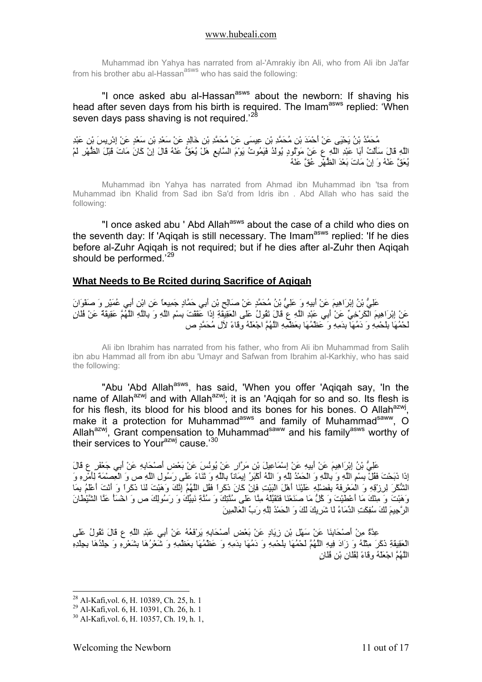<span id="page-10-0"></span>Muhammad ibn Yahya has narrated from al-'Amrakiy ibn Ali, who from Ali ibn Ja'far from his brother abu al-Hassan<sup>asws</sup> who has said the following:

"I once asked abu al-Hassan<sup>asws</sup> about the newborn: If shaving his head after seven days from his birth is required. The Imam<sup>asws</sup> replied: 'When seven days pass shaving is not required.<sup>'2</sup>

مُحَمَّدُ بْنُ يَحْيَى عَنْ أَحْمَدَ بْنِ مُحَمَّدِ بْنِ عِيسَى عَنْ مُحَمَّدِ بْنِ خَالِدٍ عَنْ سَعْدِ بْنِ سَعْدٍ عَنْ إِدْرِيسَ بْنِ عَبْدِ اللَّهِ قَالَ سَأَلْتُ أَبَا عَبْدِ اللَّهِ ع عَنْ مَوْلُودٍ يُولَدُ فَيَمُوتُ يَوْمَ السَّابِعِ هَلْ يُعَقُّ عَنْهُ قَالَ إِنْ آَانَ مَاتَ قَبْلَ الظُّهْرِ لَمْ يُعَقَّ عَنْهُ وَ إِنْ مَاتَ بَعْدَ الظُّهْرِ عُقَّ عَنْهُ

Muhammad ibn Yahya has narrated from Ahmad ibn Muhammad ibn 'tsa from Muhammad ibn Khalid from Sad ibn Sa'd from Idris ibn . Abd Allah who has said the following:

"I once asked abu ' Abd Allah<sup>asws</sup> about the case of a child who dies on the seventh day: If 'Agigah is still necessary. The Imam<sup>asws</sup> replied: 'If he dies before al-Zuhr Aqiqah is not required; but if he dies after al-Zuhr then Aqiqah should be performed.<sup>'[29](#page-10-2)</sup>

#### **What Needs to Be Rcited during Sacrifice of Aqiqah**

عَلِيُّ بْنُ إِبْرَاهِيمَ عَنْ أَبِيهِ وَ عَلِيُّ بْنُ مُحَمَّدٍ عَنْ صَالِحِ بْنِ أَبِي حَمَّادٍ جَمِيعاً عَنِ ابْنِ أَبِي عُمَيْرٍ وَ صَفْوَانَ عَنْ إِبْرَاهِيمَ الْكَرْخِيِّ عَنْ أَبِي عَبْدِ اللَّهِ ع قَالَ تَقُولُ عَلَى الْعَقِيقَةِ إِذَا عَقَقْتَ بِسْمِ اللَّهِ وَ بِاللَّهِ اللَّهُمَّ عَقِيقَةٌ عَنْ فُلَانٍ لَحْمُهَا بِلَحْمِهِ وَ دَمُهَا بِدَمِهِ وَ عَظْمُهَا بِعَظْمِهِ اللَّهُمَّ اجْعَلْهُ وِقَاءً لآِلِ مُحَمَّدٍ ص

Ali ibn Ibrahim has narrated from his father, who from Ali ibn Muhammad from Salih ibn abu Hammad all from ibn abu 'Umayr and Safwan from Ibrahim al-Karkhiy, who has said the following:

"Abu 'Abd Allah<sup>asws</sup>, has said, 'When you offer 'Aqiqah say, 'In the name of Allah<sup>azwj</sup> and with Allah<sup>azwj</sup>; it is an 'Aqiqah for so and so. Its flesh is for his flesh, its blood for his blood and its bones for his bones. O Allah $^{azwj}$ , make it a protection for Muhammad<sup>asws</sup> and family of Muhammad<sup>saww</sup>, O Allah<sup>azwj</sup>, Grant compensation to Muhammad<sup>saww</sup> and his family<sup>asws</sup> worthy of their services to Your<sup>azwj</sup> cause.<sup>[30](#page-10-3)</sup>

عَلِيُّ بْنُ إِبْرَاهِيمَ عَنْ أَبِيهِ عَنْ إِسْمَاعِيلَ بْنِ مَرَّارٍ عَنْ يُونُسَ عَنْ بَعْضِ أَصْحَابِهِ عَنْ أَبِي جَعْفَرٍ ع قَالَ إِذَا ذَبَحْتَ فَقُلْ بِسْمِ اللَّهِ وَ بِاللَّهِ وَ الْحَمْدُ لِلَّهِ وَ اللَّهُ أَآْبَرُ إِيمَاناً بِاللَّهِ وَ ثَنَاءً عَلَى رَسُولِ اللَّهِ ص وَ الْعِصْمَةَ لِأَمْرِهِ وَ الشُّكْرَ لِرِزْقِهِ وَ الْمَعْرِفَةَ بِفَضْلِهِ عَلَيْنَا أَهْلَ الْبَيْتِ فَإِنْ آَانَ ذَآَراً فَقُلِ اللَّهُمَّ إِنَّكَ وَهَبْتَ لَنَا ذَآَراً وَ أَنْتَ أَعْلَمُ بِمَا وَهَبْتَ وَ مِنْكَ مَا أَعْطَيْتَ وَ آُلُّ مَا صَنَعْنَا فَتَقَبَّلْهُ مِنَّا عَلَى سُنَّتِكَ وَ سُنَّةِ نَبِيِّكَ وَ رَسُولِكَ ص وَ اخْسَأْ عَنَّا الشَّيْطَانَ الرَّجِيمَ لَكَ سُفِكَتِ الدِّمَاءُ لَا شَرِيكَ لَكَ وَ الْحَمْدُ لِلَّهِ رَبِّ الْعَالَمِينَ

عِدَّةٌ مِنْ أَصْحَابِنَا عَنْ سَهْلِ بْنِ زِيَادٍ عَنْ بَعْضِ أَصْحَابِهِ يَرْفَعُهُ عَنْ أَبِي عَبْدِ اللَّهِ ع قَالَ تَقُولُ عَلَى الْعَقِيقَةِ ذَكَرَ مِثْلُهُ وَ زَادَ فِيهِ اللَّهُمَّ لَحْمُهَا بِلَحْمِهِ وَ دَمُهَا بِدَمِهِ وَ عَظْمُهَا بِعَظْمِهِ وَ شَعْرُهَا بِشَعْرِهِ وَ جِلْدُهَا بِجِلْدِهِ اللَّهُمَّ اجْعَلْهُ وِقَاءً لِفُلَانِ بْنِ فُلَانٍ

<span id="page-10-1"></span><sup>28</sup> Al-Kafi,vol. 6, H. 10389, Ch. 25, h. 1

<span id="page-10-2"></span><sup>29</sup> Al-Kafi,vol. 6, H. 10391, Ch. 26, h. 1

<span id="page-10-3"></span><sup>30</sup> Al-Kafi,vol. 6, H. 10357, Ch. 19, h. 1,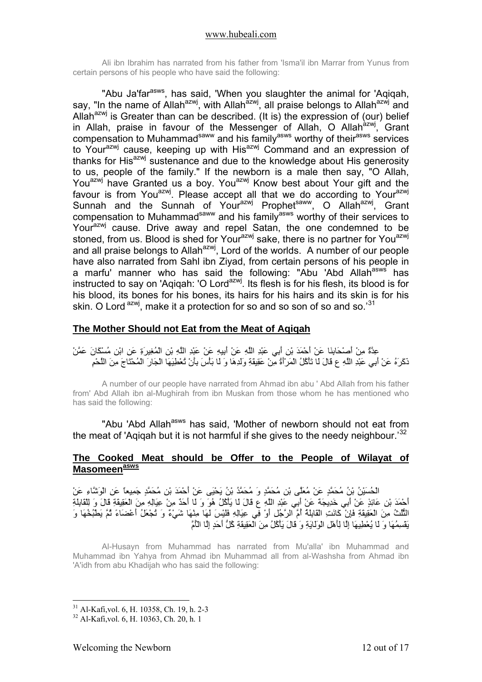<span id="page-11-0"></span>Ali ibn Ibrahim has narrated from his father from 'Isma'il ibn Marrar from Yunus from certain persons of his people who have said the following:

"Abu Ja'far<sup>asws</sup>, has said, 'When you slaughter the animal for 'Agigah, say, "In the name of Allah<sup>azwj</sup>, with Allah<sup>azwj</sup>, all praise belongs to Allah<sup>azwj</sup> and Allah<sup>azwj</sup> is Greater than can be described. (It is) the expression of (our) belief in Allah, praise in favour of the Messenger of Allah, O Allah $\frac{a}{a}$ , Grant compensation to Muhammad<sup>saww</sup> and his family<sup>asws</sup> worthy of their<sup>asws</sup> services to Your<sup>azwj</sup> cause, keeping up with His<sup>azwj</sup> Command and an expression of thanks for His<sup>azwj</sup> sustenance and due to the knowledge about His generosity to us, people of the family." If the newborn is a male then say, "O Allah, You<sup>azwj</sup> have Granted us a boy. You<sup>azwj</sup> Know best about Your gift and the favour is from You<sup>azwj</sup>. Please accept all that we do according to Your<sup>azwj</sup> Sunnah and the Sunnah of Your<sup>azwj</sup> Prophet<sup>saww</sup>, O Allah<sup>azwj</sup>, Grant compensation to Muhammad<sup>saww</sup> and his family<sup>asws</sup> worthy of their services to Your<sup>azwj</sup> cause. Drive away and repel Satan, the one condemned to be stoned, from us. Blood is shed for Your<sup>azwj</sup> sake, there is no partner for You<sup>azwj</sup> and all praise belongs to Allah<sup>azwj</sup>, Lord of the worlds. A number of our people have also narrated from Sahl ibn Ziyad, from certain persons of his people in a marfu' manner who has said the following: "Abu 'Abd Allah<sup>asws</sup> has instructed to say on 'Agigah: 'O Lord<sup>azwj</sup>. Its flesh is for his flesh, its blood is for his blood, its bones for his bones, its hairs for his hairs and its skin is for his skin. O Lord azwj, make it a protection for so and so son of so and so.<sup>[31](#page-11-1)</sup>

## **The Mother Should not Eat from the Meat of Aqiqah**

عِدَّةٌ مِنْ أَصْحَابِنَا عَنْ أَحْمَدَ بْنِ أَبِي عَبْدِ اللَّهِ عَنْ أَبِيهِ عَنْ عَبْدِ اللَّهِ بْنِ الْمُغِيرَةِ عَنِ ابْنِ مُسْكَانَ عَمَّنْ ذَآَرَهُ عَنْ أَبِي عَبْدِ اللَّهِ ع قَالَ لَا تَأْآُلُ الْمَرْأَةُ مِنْ عَقِيقَةِ وَلَدِهَا وَ لَا بَأْسَ بِأَنْ تُعْطِيَهَا الْجَارَ الْمُحْتَاجَ مِنَ اللَّحْمِ

A number of our people have narrated from Ahmad ibn abu ' Abd Allah from his father from' Abd Allah ibn al-Mughirah from ibn Muskan from those whom he has mentioned who has said the following:

"Abu 'Abd Allah<sup>asws</sup> has said, 'Mother of newborn should not eat from the meat of 'Aqiqah but it is not harmful if she gives to the needy neighbour.<sup>[32](#page-11-2)</sup>

### **The Cooked Meat should be Offer to the People of Wilayat of Masomeenasws**

الْحُسَيْنُ بْنُ مُحَمَّدٍ عَنْ مُعَلَّى بْنِ مُحَمَّدٍ وَ مُحَمَّدُ بْنُ يَحْيَى عَنْ أَحْمَدَ بْنِ مُحَمَّدٍ جَمِيعاً عَنِ الْوَشَّاءِ عَنْ أَحْمَدَ بْنِ عَائِذٍ عَنْ أَبِي خَدِيجَةَ عَنْ أَبِي عَبْدِ اللَّهِ ع قَالَ لَا يَأْآُلُ هُوَ وَ لَا أَحَدٌ مِنْ عِيَالِهِ مِنَ الْعَقِيقَةِ قَالَ وَ لِلْقَابِلَةِ الثُّلُثُ مِنَ الْعَقِيقَةِ فَإِنْ كَانَتِ الْقَابِلَةُ أُمَّ الرَّجُلِ أَوْ فِي عِيَالِهِ فَلَيْسَ لَهَا مِنْهَا شَيْءٌ وَ تُجْعَلُ أَعْضَاءً ثُمَّ يَطْبُخُهَا وَ يَقْسِمُهَا وَ لَا يُعْطِيهَا إِلَّا لِأَهْلِ الْوَلَايَةِ وَ قَالَ يَأْآُلُ مِنَ الْعَقِيقَةِ آُلُّ أَحَدٍ إِلَّا الْأُمَّ

Al-Husayn from Muhammad has narrated from Mu'alla' ibn Muhammad and Muhammad ibn Yahya from Ahmad ibn Muhammad all from al-Washsha from Ahmad ibn 'A'idh from abu Khadijah who has said the following:

<u>.</u>

 $31$  Al-Kafi vol. 6, H, 10358, Ch. 19, h. 2-3

<span id="page-11-2"></span><span id="page-11-1"></span><sup>32</sup> Al-Kafi,vol. 6, H. 10363, Ch. 20, h. 1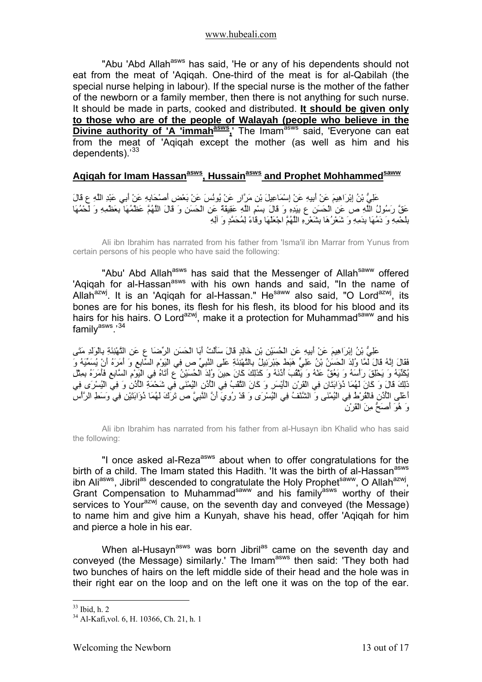<span id="page-12-0"></span>"Abu 'Abd Allah<sup>asws</sup> has said, 'He or any of his dependents should not eat from the meat of 'Aqiqah. One-third of the meat is for al-Qabilah (the special nurse helping in labour). If the special nurse is the mother of the father of the newborn or a family member, then there is not anything for such nurse. It should be made in parts, cooked and distributed. **It should be given only to those who are of the people of Walayah (people who believe in the Divine authority of 'A 'immah<sup>asws</sup>,'** The Imam<sup>asws</sup> said, 'Everyone can eat from the meat of 'Aqiqah except the mother (as well as him and his dependents).<sup>[33](#page-12-1)</sup>

## Agigah for Imam Hassan<sup>asws</sup>, Hussain<sup>asws</sup> and Prophet Mohhammed<sup>saww</sup>

عَلِيُّ بْنُ إِبْرَاهِيمَ عَنْ أَبِيهِ عَنْ إِسْمَاعِيلَ بْنِ مَرَّارٍ عَنْ يُونُسَ عَنْ بَعْضِ أَصْحَابِهِ عَنْ أَبِي عَبْدِ اللَّهِ ع قَالَ عَقَّ رَسُولُ اللَّهِ ص عَنِ الْحَسَنِ ع بِيَدِهِ وَ قَالَ بِسْمِ اللَّهِ عَقِيقَةٌ عَنِ الْحَسَنِ وَ قَالَ اللَّهُمَّ عَظْمُهَا بِعَظْمِهِ وَ لَحْمُهَا بِلَحْمِهِ وَ دَمُهَا بِدَمِهِ وَ شَعْرُهَا بِشَعْرِهِ اللَّهُمَّ اجْعَلْهَا وِقَاءً لِمُحَمَّدٍ وَ آلِهِ

Ali ibn Ibrahim has narrated from his father from 'Isma'il ibn Marrar from Yunus from certain persons of his people who have said the following:

"Abu' Abd Allah<sup>asws</sup> has said that the Messenger of Allah<sup>saww</sup> offered 'Agigah for al-Hassan<sup>asws</sup> with his own hands and said, "In the name of Allah<sup>azwj</sup>. It is an 'Aqiqah for al-Hassan." He<sup>saww</sup> also said, "O Lord<sup>azwj</sup>, its bones are for his bones, its flesh for his flesh, its blood for his blood and its hairs for his hairs. O Lord<sup>azwj</sup>, make it a protection for Muhammad<sup>saww</sup> and his family<sup>asws</sup>.'[34](#page-12-2)

عَلِيُّ بْنُ إِبْرَاهِيمَ عَنْ أَبِيهِ عَنِ الْحُسَيْنِ بْنِ خَالِدٍ قَالَ سَأَلْتُ أَبَا الْحَسَنِ الرِّضَا ع عَنِ التَّهْنِئَةِ بِالْوَلَدِ مَتَى فَقَالَ إِنَّهُ قَالَ لَمَّا وُلِدَ الْحَسَنُ بْنُ عَلِيٍّ هَبَطَ جَبْرَئِيلُ بِالتَّهْنِئَةِ عَلَى النَّبِيِّ ص فِي الْيَوْمِ السَّابِعِ وَ أَمَرَهُ أَنْ يُسَمِّيَهُ وَ يُكَنِّيَهُ وَ يَحْلِقَ رَأْسَهُ وَ يَعُقَّ عَنْهُ وَ يَثْقُبَ أُذُنَهُ وَ آَذَلِكَ آَانَ حِينَ وُلِدَ الْحُسَيْنُ ع أَتَاهُ فِي الْيَوْمِ السَّابِعِ فَأَمَرَهُ بِمِثْلِ ذَلِكَ قَالَ وَ آَانَ لَهُمَا ذُؤَابَتَانِ فِي الْقَرْنِ الْأَيْسَرِ وَ آَانَ الثَّقْبُ فِي الْأُذُنِ الْيُمْنَى فِي شَحْمَةِ الْأُذُنِ وَ فِي الْيُسْرَى فِي أَعْلَى الْأُذُنِ فَالْقُرْطُ فِي الْيُمْنَى وَ الشَّنْفُ فِي الْيُسْرَى وَ قَدْ رُوِيَ أَنَّ النَّبِيَّ ص تَرَكَ لَهُمَا ذُؤَابَتَيْنِ فِي وَسَطِ الرَّأْسِ وَ هُوَ أَصَحُّ مِنَ الْقَرْنِ

Ali ibn Ibrahim has narrated from his father from al-Husayn ibn Khalid who has said the following:

"I once asked al-Reza<sup>asws</sup> about when to offer congratulations for the birth of a child. The Imam stated this Hadith. 'It was the birth of al-Hassan<sup>asws</sup> ibn Aliasws, Jibril<sup>as</sup> descended to congratulate the Holy Prophet<sup>saww</sup>, O Allah<sup>azwj</sup>, Grant Compensation to Muhammad<sup>saww</sup> and his family<sup>asws</sup> worthy of their services to Your<sup>azwj</sup> cause, on the seventh day and conveyed (the Message) to name him and give him a Kunyah, shave his head, offer 'Aqiqah for him and pierce a hole in his ear.

When al-Husayn<sup>asws</sup> was born Jibril<sup>as</sup> came on the seventh day and conveyed (the Message) similarly.' The Imam<sup>asws</sup> then said: 'They both had two bunches of hairs on the left middle side of their head and the hole was in their right ear on the loop and on the left one it was on the top of the ear.

<u>.</u>

 $33$  Ibid, h. 2

<span id="page-12-2"></span><span id="page-12-1"></span><sup>34</sup> Al-Kafi,vol. 6, H. 10366, Ch. 21, h. 1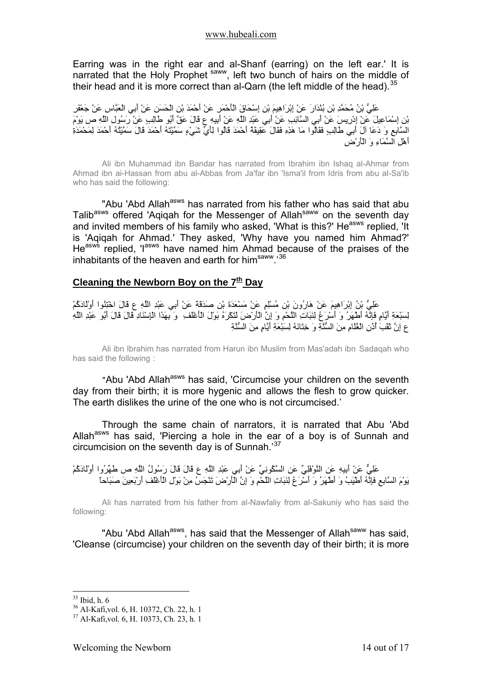<span id="page-13-0"></span>Earring was in the right ear and al-Shanf (earring) on the left ear.' It is narrated that the Holy Prophet<sup>saww</sup>, left two bunch of hairs on the middle of their head and it is more correct than al-Qarn (the left middle of the head).<sup>[35](#page-13-1)</sup>

عَلِيُّ بْنُ مُحَمَّدِ بْنِ بُنْدَارَ عَنْ إِبْرَاهِيمَ بْنِ إِسْحَاقَ الْأَحْمَرِ عَنْ أَحْمَدَ بْنِ الْحَسَنِ عَنْ أَبِي الْعَبَّاسِ عَنْ جَعْفَرِ بْنِ إِسْمَاعِيلَ عَنْ إِدْرِيسَ عَنْ أَبِي السَّائِبِ عَنْ أَبِي عَبْدِ اللَّهِ عَنْ أَبِيهِ ع قَالَ عَقَّ أَبُو طَالِبٍ عَنْ رَسُولِ اللَّهِ ص يَوْمَ السَّابِعِ وَ دَعَا آلَ أَبِي طَالِبٍ فَقَالُوا مَا هَذِهِ فَقَالَ عَقِيقَةُ أَحْمَدَ قَالُوا لِأَيِّ شَيْءٍ سَمَّيْتَهُ أَحْمَدَ قَالَ سَمَّيْتُهُ أَحْمَدَ لِمَحْمَدَةِ أَهْلِ السَّمَاءِ وَ الْأَرْضِ

Ali ibn Muhammad ibn Bandar has narrated from Ibrahim ibn Ishaq al-Ahmar from Ahmad ibn ai-Hassan from abu al-Abbas from Ja'far ibn 'Isma'il from Idris from abu al-Sa'ib who has said the following:

"Abu 'Abd Allah<sup>asws</sup> has narrated from his father who has said that abu Talib<sup>asws</sup> offered 'Aqiqah for the Messenger of Allah<sup>saww</sup> on the seventh day and invited members of his family who asked, 'What is this?' He<sup>asws</sup> replied, 'It is 'Aqiqah for Ahmad.' They asked, 'Why have you named him Ahmad?' He<sup>asws</sup> replied. I<sup>asws</sup> have named him Ahmad because of the praises of the inhabitants of the heaven and earth for himsaww.'[36](#page-13-2)

## **Cleaning the Newborn Boy on the 7<sup>th</sup> Day**

عَلِيُّ بْنُ إِبْرَاهِيمَ عَنْ هَارُونَ بْنِ مُسْلِمٍ عَنْ مَسْعَدَةَ بْنِ صَدَقَةَ عَنْ أَبِي عَبْدِ اللَّهِ ع قَالَ اخْتِنُوا أَوْلَادَآُمْ لِسَبْعَةِ أَيَّامٍ فَإِنَّهُ أَطْهَرُ وَ أَسْرَعُ لِنَبَاتِ اللَّحْمِ وَ إِنَّ الْأَرْضَ لَتَكْرَهُ بَوْلَ الْأَغْلَفِ وَ بِهَذَا الْإِسْنَادِ قَالَ قَالَ أَبُو عَبْدِ اللَّهِ ع إِنَّ ثَقْبَ أُذُنِ الْغُلَامِ مِنَ السُّنَّةِ وَ خِتَانَهُ لِسَبْعَةِ أَيَّامٍ مِنَ السُّنَّةِ

Ali ibn Ibrahim has narrated from Harun ibn Muslim from Mas'adah ibn Sadaqah who has said the following :

"Abu 'Abd Allah<sup>asws</sup> has said, 'Circumcise your children on the seventh day from their birth; it is more hygenic and allows the flesh to grow quicker. The earth dislikes the urine of the one who is not circumcised.'

Through the same chain of narrators, it is narrated that Abu 'Abd Allah<sup>asws</sup> has said, 'Piercing a hole in the ear of a boy is of Sunnah and circumcision on the seventh day is of Sunnah.<sup>[37](#page-13-3)</sup>

عَلِيٌّ عَنْ أَبِيهِ عَنِ النَّوْفَلِيِّ عَنِ السَّكُونِيِّ عَنْ أَبِي عَبْدِ اللَّهِ ع قَالَ قَالَ رَسُولُ اللَّهِ ص طَهِّرُوا أَوْلَادَآُمْ يَّسِي مَسَّلِ السَّابِعِ فَإِنَّهُ أَطْيَبَهُ وَ الْحَرْسِيِّ عَنْ جَسَمَتِي عَنْ بَيْنِ مِنْ بَيْنَ عَنْ وَق<br>يَوْمَ السَّابِعِ فَإِنَّهُ أَطْيَبَهُ وَ أَطْهَرُ وَ أَسْرَعُ لِنَبَاتِ اللَّحْمِ وَ إِنَّ الْأَرْضَ تَنْجَسُ

Ali has narrated from his father from al-Nawfaliy from al-Sakuniy who has said the following:

"Abu 'Abd Allah<sup>asws</sup>, has said that the Messenger of Allah<sup>saww</sup> has said, 'Cleanse (circumcise) your children on the seventh day of their birth; it is more

<span id="page-13-1"></span> $35$  Ibid, h. 6

<sup>36</sup> Al-Kafi,vol. 6, H. 10372, Ch. 22, h. 1

<span id="page-13-3"></span><span id="page-13-2"></span><sup>37</sup> Al-Kafi,vol. 6, H. 10373, Ch. 23, h. 1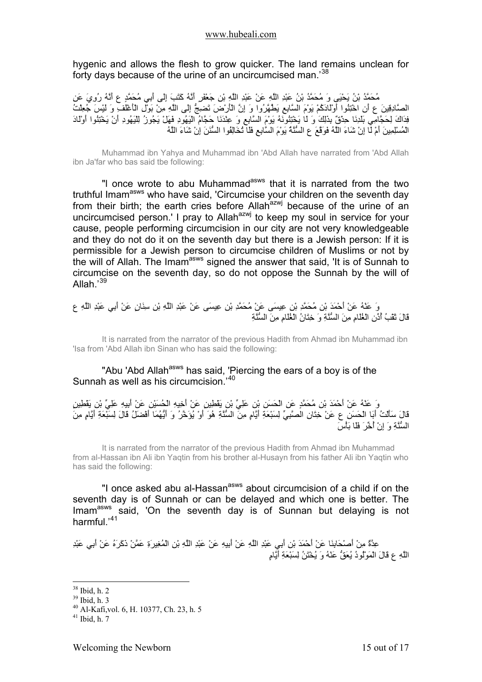hygenic and allows the flesh to grow quicker. The land remains unclean for forty days because of the urine of an uncircumcised man.<sup>[38](#page-14-0)</sup>

مُحَمَّدُ بْنُ يَحْيَى وَ مُحَمَّدُ بْنُ عَبْدِ اللَّهِ عَنْ عَبْدِ اللَّهِ بْنِ جَعْفَرٍ أَنَّهُ آَتَبَ إِلَى أَبِي مُحَمَّدٍ ع أَنَّهُ رُوِيَ عَنِ الصَّادِقِينَ ع أَنِ اخْتِنُوا أَوْلَادَآُمْ يَوْمَ السَّابِعِ يَطَّهَّرُوا وَ إِنَّ الْأَرْضَ تَضِجُّ إِلَى اللَّهِ مِنْ بَوْلِ الْأَغْلَفِ وَ لَيْسَ جُعِلْتُ مستعلِقِينَ عَنْ سَــِدَا الْــَــِدَا الْــَــَـــِيْ سَــَـــِيْ جَــَــُوزُ لَـ بَالَ -ـَرَــَــَا حَجَّامُ الْيَهُودِ فَهَلْ يَجُوزُ لِلْيَهُودِ أَنْ يَخْتِنُوا أَوْلَادَ<br>فِذَاكَ لِحَجَّامِي بَلْدِنَا حِدْقٌ بِذَلِكَ الْمُسْلِمِينَ أَمْ لَا إِنْ شَاءَ اللَّهُ فَوَقَّعَ ع السُّنَّةُ يَوْمَ السَّابِعِ فَلَا تُخَالِفُوا السُّنَنَ إِنْ شَاءَ اللَّهُ

Muhammad ibn Yahya and Muhammad ibn 'Abd Allah have narrated from 'Abd Allah ibn Ja'far who bas said tbe following:

"I once wrote to abu Muhammad<sup>asws</sup> that it is narrated from the two truthful Imam<sup>asws</sup> who have said, 'Circumcise your children on the seventh day from their birth; the earth cries before Allah<sup>azwj</sup> because of the urine of an uncircumcised person.' I pray to Allah<sup>azwj</sup> to keep my soul in service for your cause, people performing circumcision in our city are not very knowledgeable and they do not do it on the seventh day but there is a Jewish person: If it is permissible for a Jewish person to circumcise children of Muslims or not by the will of Allah. The Imam<sup>asws</sup> signed the answer that said, 'It is of Sunnah to circumcise on the seventh day, so do not oppose the Sunnah by the will of Allah.'[39](#page-14-1)

وَ عَنْهُ عَنْ أَحْمَدَ بْنِ مُحَمَّدِ بْنِ عِيسَى عَنْ مُحَمَّدِ بْنِ عِيسَى عَنْ عَبْدِ اللَّهِ بْنِ سِنَانٍ عَنْ أَبِي عَبْدِ اللَّهِ ع قَالَ ثَقْبُ أُذُنِ الْغُلَامِ مِنَ السُّنَّةِ وَ خِتَانُ الْغُلَامِ مِنَ السُّنَّةِ

It is narrated from the narrator of the previous Hadith from Ahmad ibn Muhammad ibn 'Isa from 'Abd Allah ibn Sinan who has said the following:

"Abu 'Abd Allah<sup>asws</sup> has said, 'Piercing the ears of a boy is of the Sunnah as well as his circumcision.'[40](#page-14-2)

وَ عَنْهُ عَنْ أَحْمَدَ بْنِ مُحَمَّدٍ عَنِ الْحَسَنِ بْنِ عَلِيِّ بْنِ يَقْطِينٍ عَنْ أَخِيهِ الْحُسَيْنِ عَنْ أَبِيهِ عَلِيِّ بْنِ يَقْطِينٍ قَالَ سَأَلْتُ أَبَا الْحَسَنِ ع عَنْ خِتَانِ الصَّبِّيِّ لِسَبْعَةِ أَيَّامٍ مِنَ السُّنَّةِ هُوَ أَوْ يُؤَخَّرُ وَ أَيُّهُمَا أَفْضَلُ قَالَ لِسَبْعَةِ أَيَّامٍ مِنَ<br>قَالَ سَأَلْتُ أَبَا الْحَسَنِ ع عَنْ خِتَانِ الصَّبَ السُّنَّةِ وَ إِنْ أُخِّرَ فَلَا بَأْسَ

It is narrated from the narrator of the previous Hadith from Ahmad ibn Muhammad from al-Hassan ibn Ali ibn Yaqtin from his brother al-Husayn from his father Ali ibn Yaqtin who has said the following:

"I once asked abu al-Hassan<sup>asws</sup> about circumcision of a child if on the seventh day is of Sunnah or can be delayed and which one is better. The Imam<sup>asws</sup> said, 'On the seventh day is of Sunnan but delaying is not harmful.'[41](#page-14-3)

عِدَّةٌ مِنْ أَصْحَابِنَا عَنْ أَحْمَدَ بْنِ أَبِي عَبْدِ اللَّهِ عَنْ أَبِيهِ عَنْ عَبْدِ اللَّهِ بْنِ الْمُغِيرَةِ عَمَّنْ ذَكَرَهُ عَنْ أَبِي عَبْدِ اللَّهِ ع قَالَ الْمَوْلُودُ يُعَقُّ عَنْهُ وَ يُخْتَنُ لِسَبْعَةِ أَيَّامٍ

<sup>38</sup> Ibid, h. 2

<span id="page-14-1"></span><span id="page-14-0"></span><sup>39</sup> Ibid, h. 3

<span id="page-14-2"></span><sup>40</sup> Al-Kafi,vol. 6, H. 10377, Ch. 23, h. 5

<span id="page-14-3"></span> $41$  Ibid h  $7$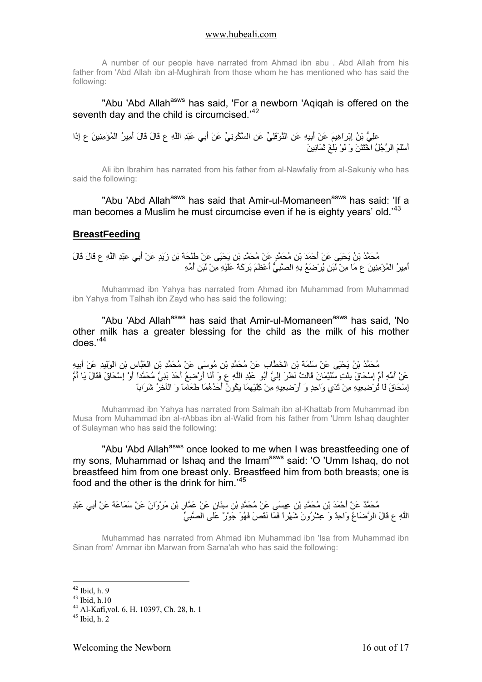<span id="page-15-0"></span>A number of our people have narrated from Ahmad ibn abu . Abd Allah from his father from 'Abd Allah ibn al-Mughirah from those whom he has mentioned who has said the following:

"Abu 'Abd Allah<sup>asws</sup> has said, 'For a newborn 'Aqiqah is offered on the seventh day and the child is circumcised.<sup>[42](#page-15-1)</sup>

عَلِيُّ بْنُ إِبْرَاهِيمَ عَنْ أَبِيهِ عَنِ النَّوْفَلِيِّ عَنِ السَّكُونِيِّ عَنْ أَبِي عَبْدِ اللَّهِ ع قَالَ قَالَ أَمِيرُ الْمُؤْمِنِينَ ع إِذَا أَسْلَمَ الرَّجُلُ اخْتَتَنَ وَ لَوْ بَلَغَ ثَمَانِينَ

Ali ibn Ibrahim has narrated from his father from al-Nawfaliy from al-Sakuniy who has said the following:

"Abu 'Abd Allah<sup>asws</sup> has said that Amir-ul-Momaneen<sup>asws</sup> has said: 'If a man becomes a Muslim he must circumcise even if he is eighty years' old.<sup>[43](#page-15-2)</sup>

## **BreastFeeding**

مُحَمَّدُ بْنُ يَحْيَى عَنْ أَحْمَدَ بْنِ مُحَمَّدٍ عَنْ مُحَمَّدِ بْنِ يَحْيَى عَنْ طَلْحَةَ بْنِ زَيْدٍ عَنْ أَبِي عَبْدِ اللَّهِ ع قَالَ قَالَ أَمِيرُ الْمُؤْمِنِينَ ع مَا مِنْ لَبَنٍ يُرْضَعُ بِهِ الصَّبِيُّ أَعْظَمَ بَرَآَةً عَلَيْهِ مِنْ لَبَنِ أُمِّهِ

Muhammad ibn Yahya has narrated from Ahmad ibn Muhammad from Muhammad ibn Yahya from Talhah ibn Zayd who has said the following:

"Abu 'Abd Allah<sup>asws</sup> has said that Amir-ul-Momaneen<sup>asws</sup> has said, 'No other milk has a greater blessing for the child as the milk of his mother does.'[44](#page-15-3)

مُحَمَّدُ بْنُ يَحْيَى عَنْ سَلَمَةَ بْنِ الْخَطَّابِ عَنْ مُحَمَّدِ بْنِ مُوسَى عَنْ مُحَمَّدِ بْنِ الْعَبَّاسِ بْنِ الْوَلِيدِ عَنْ أَبِيهِ عَنْ أُمِّهِ أُمِّ إِسْحَاقَ بِنْتِ سُلَيْمَانَ قَالَتْ نَظَرَ إِلَيَّ أَبُو عَبْدِ اللَّهِ ع وَ أَنَا أُرْضِعُ أَحَدَ بَنِيَّ مُحَمَّداً أَوْ إِسْحَاقَ فَقَالَ يَا أُمَّ إِسْحَاقَ لَا تُرْضِعِيهِ مِنْ ثَدْيٍ وَاحِدٍ وَ أَرْضِعِيهِ مِنْ آِلَيْهِمَا يَكُونُ أَحَدُهُمَا طَعَاماً وَ الْآخَرُ شَرَاباً

Muhammad ibn Yahya has narrated from Salmah ibn al-Khattab from Muhammad ibn Musa from Muhammad ibn al-rAbbas ibn al-Walid from his father from 'Umm Ishaq daughter of Sulayman who has said the following:

"Abu 'Abd Allah<sup>asws</sup> once looked to me when I was breastfeeding one of my sons, Muhammad or Ishaq and the Imam<sup>asws</sup> said: 'O 'Umm Ishaq, do not breastfeed him from one breast only. Breastfeed him from both breasts; one is food and the other is the drink for him.'[45](#page-15-4)

مُحَمَّدٌ عَنْ أَحْمَدَ بْنِ مُحَمَّدِ بْنِ عِيسَى عَنْ مُحَمَّدِ بْنِ سِنَانٍ عَنْ عَمَّارِ بْنِ مَرْوَانَ عَنْ سَمَاعَةَ عَنْ أَبِي عَبْدِ اللَّهِ ع قَالَ الرَّضَاعُ وَاحِدٌ وَ عِشْرُونَ شَهْراً فَمَا نَقَصَ فَهُوَ جَوْرٌ عَلَى الصَّبِيِّ

Muhammad has narrated from Ahmad ibn Muhammad ibn 'Isa from Muhammad ibn Sinan from' Amrnar ibn Marwan from Sarna'ah who has said the following:

 $42$  Ibid, h. 9

<span id="page-15-2"></span><span id="page-15-1"></span> $43$  Ibid, h.10

<span id="page-15-3"></span><sup>44</sup> Al-Kafi,vol. 6, H. 10397, Ch. 28, h. 1

<span id="page-15-4"></span> $45$  Ibid, h.  $2$